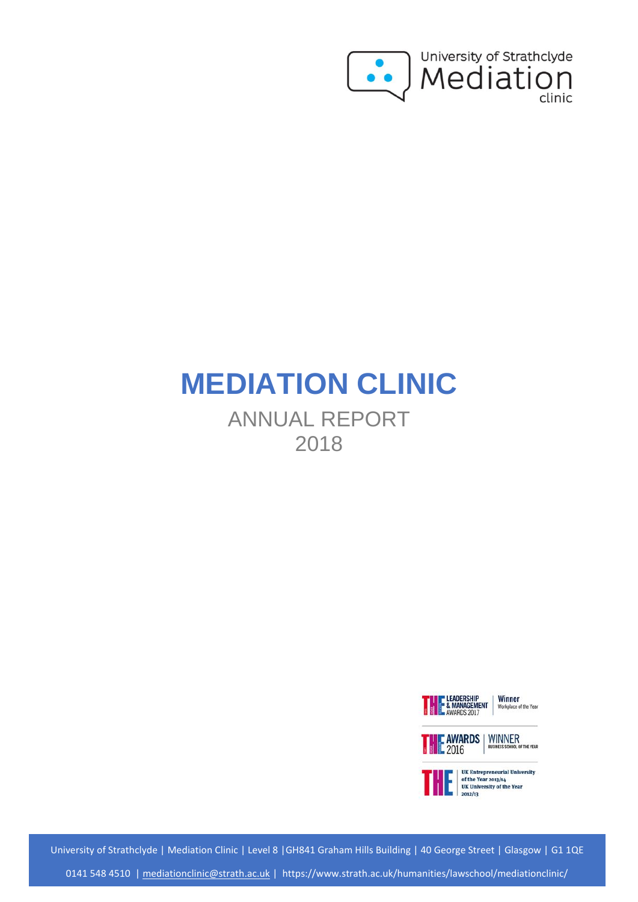

# **MEDIATION CLINIC**

ANNUAL REPORT 2018







 $2012/13$ 

University of Strathclyde | Mediation Clinic | Level 8 |GH841 Graham Hills Building | 40 George Street | Glasgow | G1 1QE [0141 548 4510](tel:00441411415484510) | [mediationclinic@strath.ac.uk](mailto:mediationclinic@strath.ac.uk) | https://www.strath.ac.uk/humanities/lawschool/mediationclinic/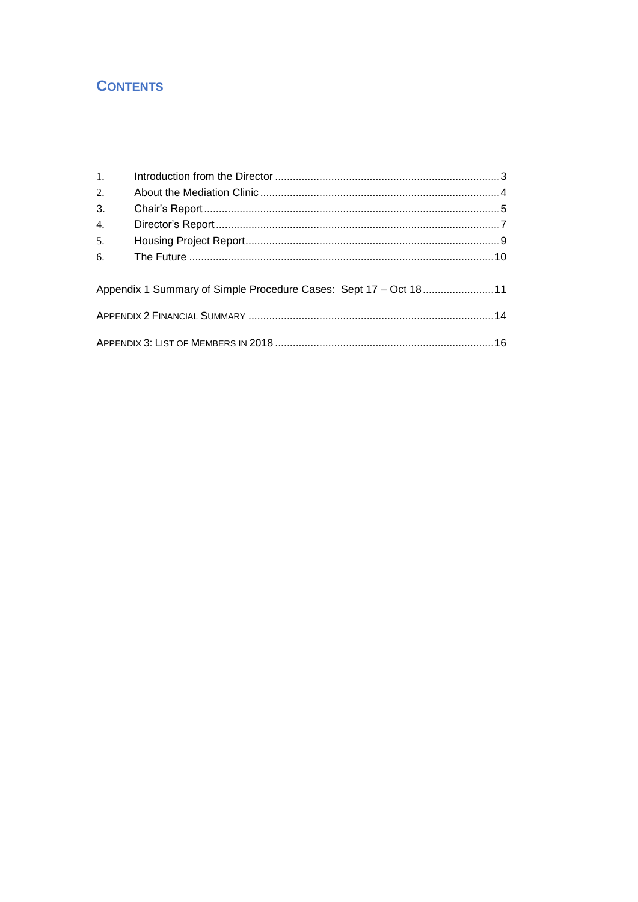| 1. |                                                                  |  |
|----|------------------------------------------------------------------|--|
| 2. |                                                                  |  |
| 3. |                                                                  |  |
| 4. |                                                                  |  |
| 5. |                                                                  |  |
|    |                                                                  |  |
|    | Appendix 1 Summary of Simple Procedure Cases: Sept 17 - Oct 1811 |  |
|    |                                                                  |  |
|    |                                                                  |  |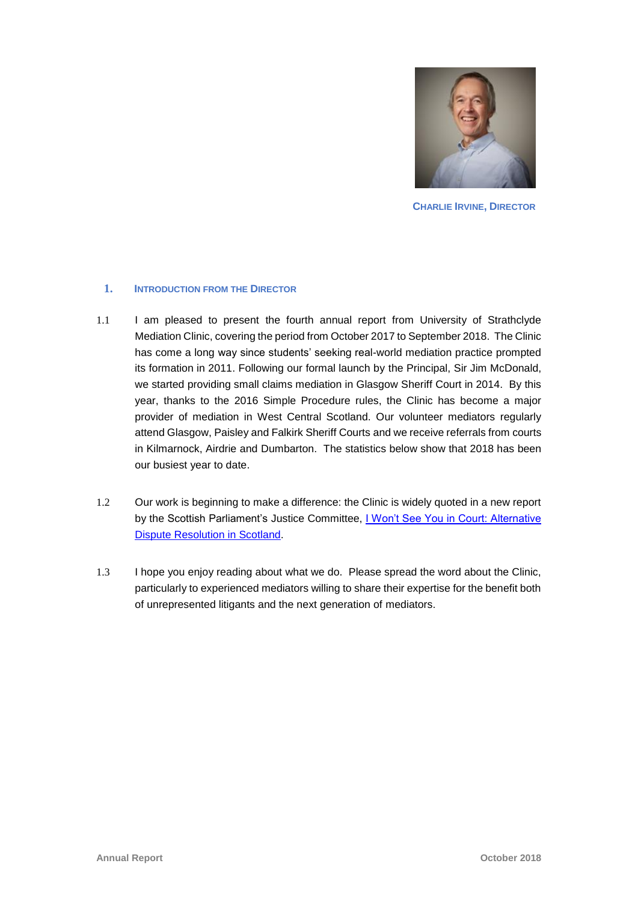

**CHARLIE IRVINE, DIRECTOR**

#### **1. INTRODUCTION FROM THE DIRECTOR**

- 1.1 I am pleased to present the fourth annual report from University of Strathclyde Mediation Clinic, covering the period from October 2017 to September 2018. The Clinic has come a long way since students' seeking real-world mediation practice prompted its formation in 2011. Following our formal launch by the Principal, Sir Jim McDonald, we started providing small claims mediation in Glasgow Sheriff Court in 2014. By this year, thanks to the 2016 Simple Procedure rules, the Clinic has become a major provider of mediation in West Central Scotland. Our volunteer mediators regularly attend Glasgow, Paisley and Falkirk Sheriff Courts and we receive referrals from courts in Kilmarnock, Airdrie and Dumbarton. The statistics below show that 2018 has been our busiest year to date.
- 1.2 Our work is beginning to make a difference: the Clinic is widely quoted in a new report by the Scottish Parliament's Justice Committee, *I Won't See You in Court: Alternative* [Dispute Resolution in Scotland.](https://digitalpublications.parliament.scot/Committees/Report/J/2018/10/1/I-won-t-see-you-in-court--alternative-dispute-resolution-in-Scotland#Introduction)
- 1.3 I hope you enjoy reading about what we do. Please spread the word about the Clinic, particularly to experienced mediators willing to share their expertise for the benefit both of unrepresented litigants and the next generation of mediators.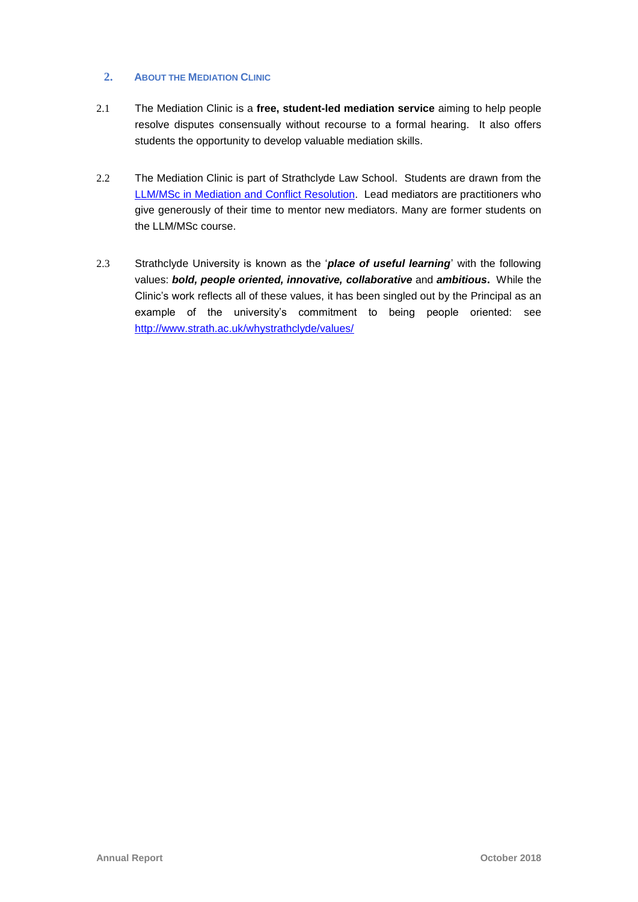### **2. ABOUT THE MEDIATION CLINIC**

- 2.1 The Mediation Clinic is a **free, student-led mediation service** aiming to help people resolve disputes consensually without recourse to a formal hearing. It also offers students the opportunity to develop valuable mediation skills.
- 2.2 The Mediation Clinic is part of Strathclyde Law School. Students are drawn from the LLM/MSc in Mediation [and Conflict Resolution.](https://www.strath.ac.uk/courses/postgraduatetaught/mediationconflictresolution/) Lead mediators are practitioners who give generously of their time to mentor new mediators. Many are former students on the LLM/MSc course.
- 2.3 Strathclyde University is known as the '*place of useful learning*' with the following values: *bold, people oriented, innovative, collaborative* and *ambitious***.** While the Clinic's work reflects all of these values, it has been singled out by the Principal as an example of the university's commitment to being people oriented: see <http://www.strath.ac.uk/whystrathclyde/values/>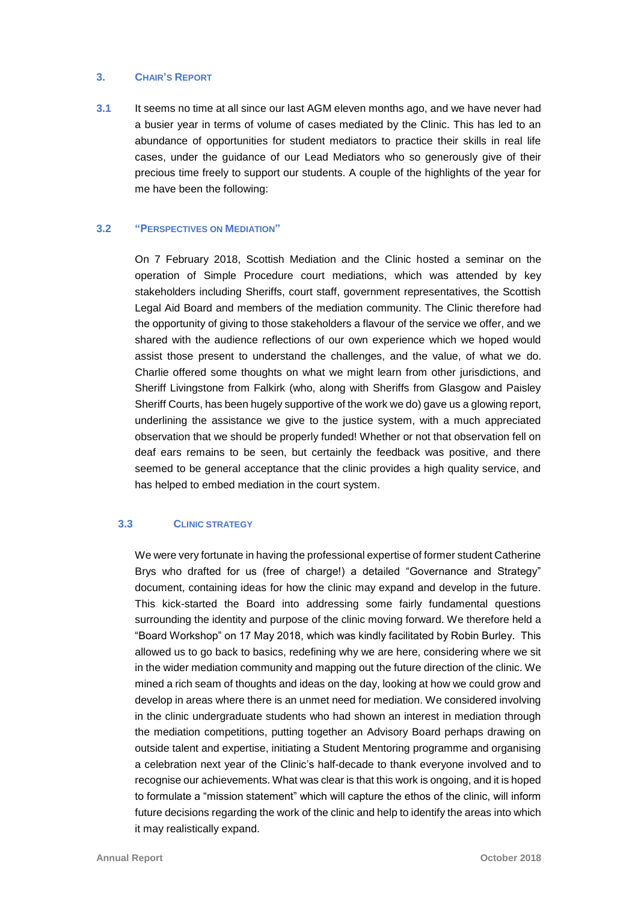#### **3. CHAIR'S REPORT**

**3.1** It seems no time at all since our last AGM eleven months ago, and we have never had a busier year in terms of volume of cases mediated by the Clinic. This has led to an abundance of opportunities for student mediators to practice their skills in real life cases, under the guidance of our Lead Mediators who so generously give of their precious time freely to support our students. A couple of the highlights of the year for me have been the following:

#### **3.2 "PERSPECTIVES ON MEDIATION"**

On 7 February 2018, Scottish Mediation and the Clinic hosted a seminar on the operation of Simple Procedure court mediations, which was attended by key stakeholders including Sheriffs, court staff, government representatives, the Scottish Legal Aid Board and members of the mediation community. The Clinic therefore had the opportunity of giving to those stakeholders a flavour of the service we offer, and we shared with the audience reflections of our own experience which we hoped would assist those present to understand the challenges, and the value, of what we do. Charlie offered some thoughts on what we might learn from other jurisdictions, and Sheriff Livingstone from Falkirk (who, along with Sheriffs from Glasgow and Paisley Sheriff Courts, has been hugely supportive of the work we do) gave us a glowing report, underlining the assistance we give to the justice system, with a much appreciated observation that we should be properly funded! Whether or not that observation fell on deaf ears remains to be seen, but certainly the feedback was positive, and there seemed to be general acceptance that the clinic provides a high quality service, and has helped to embed mediation in the court system.

#### **3.3 CLINIC STRATEGY**

We were very fortunate in having the professional expertise of former student Catherine Brys who drafted for us (free of charge!) a detailed "Governance and Strategy" document, containing ideas for how the clinic may expand and develop in the future. This kick-started the Board into addressing some fairly fundamental questions surrounding the identity and purpose of the clinic moving forward. We therefore held a "Board Workshop" on 17 May 2018, which was kindly facilitated by Robin Burley. This allowed us to go back to basics, redefining why we are here, considering where we sit in the wider mediation community and mapping out the future direction of the clinic. We mined a rich seam of thoughts and ideas on the day, looking at how we could grow and develop in areas where there is an unmet need for mediation. We considered involving in the clinic undergraduate students who had shown an interest in mediation through the mediation competitions, putting together an Advisory Board perhaps drawing on outside talent and expertise, initiating a Student Mentoring programme and organising a celebration next year of the Clinic's half-decade to thank everyone involved and to recognise our achievements. What was clear is that this work is ongoing, and it is hoped to formulate a "mission statement" which will capture the ethos of the clinic, will inform future decisions regarding the work of the clinic and help to identify the areas into which it may realistically expand.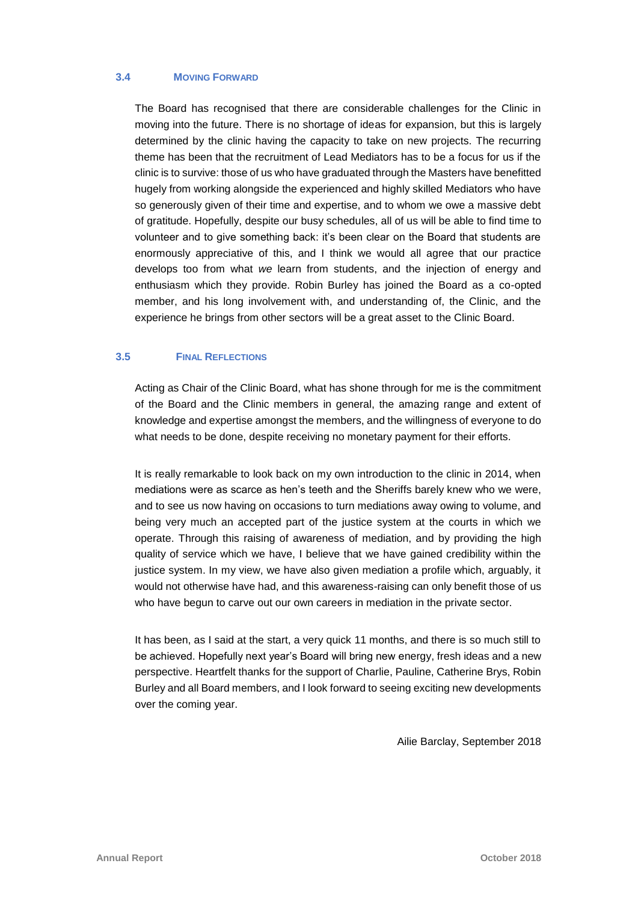#### **3.4 MOVING FORWARD**

The Board has recognised that there are considerable challenges for the Clinic in moving into the future. There is no shortage of ideas for expansion, but this is largely determined by the clinic having the capacity to take on new projects. The recurring theme has been that the recruitment of Lead Mediators has to be a focus for us if the clinic is to survive: those of us who have graduated through the Masters have benefitted hugely from working alongside the experienced and highly skilled Mediators who have so generously given of their time and expertise, and to whom we owe a massive debt of gratitude. Hopefully, despite our busy schedules, all of us will be able to find time to volunteer and to give something back: it's been clear on the Board that students are enormously appreciative of this, and I think we would all agree that our practice develops too from what *we* learn from students, and the injection of energy and enthusiasm which they provide. Robin Burley has joined the Board as a co-opted member, and his long involvement with, and understanding of, the Clinic, and the experience he brings from other sectors will be a great asset to the Clinic Board.

#### **3.5 FINAL REFLECTIONS**

Acting as Chair of the Clinic Board, what has shone through for me is the commitment of the Board and the Clinic members in general, the amazing range and extent of knowledge and expertise amongst the members, and the willingness of everyone to do what needs to be done, despite receiving no monetary payment for their efforts.

It is really remarkable to look back on my own introduction to the clinic in 2014, when mediations were as scarce as hen's teeth and the Sheriffs barely knew who we were, and to see us now having on occasions to turn mediations away owing to volume, and being very much an accepted part of the justice system at the courts in which we operate. Through this raising of awareness of mediation, and by providing the high quality of service which we have, I believe that we have gained credibility within the justice system. In my view, we have also given mediation a profile which, arguably, it would not otherwise have had, and this awareness-raising can only benefit those of us who have begun to carve out our own careers in mediation in the private sector.

It has been, as I said at the start, a very quick 11 months, and there is so much still to be achieved. Hopefully next year's Board will bring new energy, fresh ideas and a new perspective. Heartfelt thanks for the support of Charlie, Pauline, Catherine Brys, Robin Burley and all Board members, and I look forward to seeing exciting new developments over the coming year.

Ailie Barclay, September 2018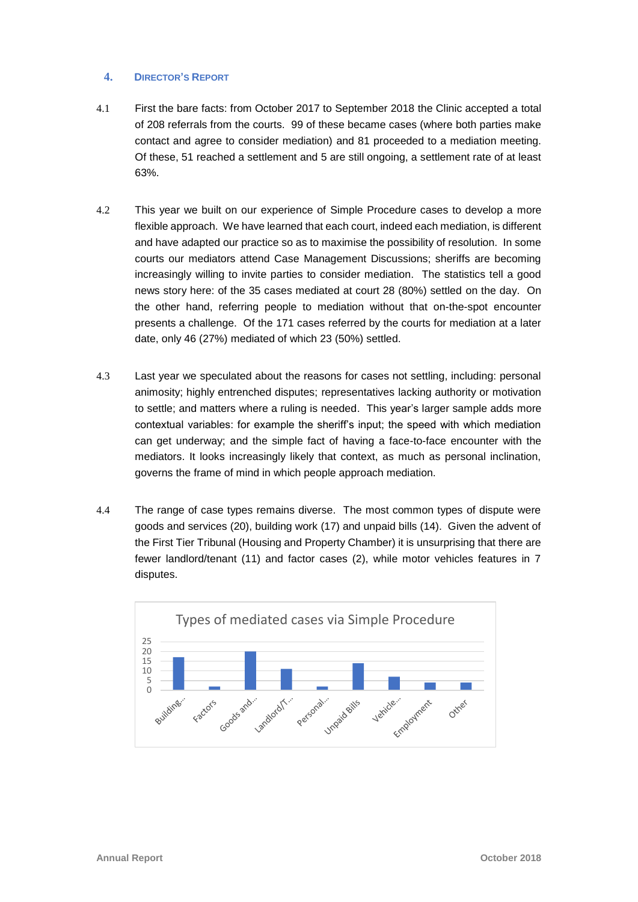#### **4. DIRECTOR'S REPORT**

- 4.1 First the bare facts: from October 2017 to September 2018 the Clinic accepted a total of 208 referrals from the courts. 99 of these became cases (where both parties make contact and agree to consider mediation) and 81 proceeded to a mediation meeting. Of these, 51 reached a settlement and 5 are still ongoing, a settlement rate of at least 63%.
- 4.2 This year we built on our experience of Simple Procedure cases to develop a more flexible approach. We have learned that each court, indeed each mediation, is different and have adapted our practice so as to maximise the possibility of resolution. In some courts our mediators attend Case Management Discussions; sheriffs are becoming increasingly willing to invite parties to consider mediation. The statistics tell a good news story here: of the 35 cases mediated at court 28 (80%) settled on the day. On the other hand, referring people to mediation without that on-the-spot encounter presents a challenge. Of the 171 cases referred by the courts for mediation at a later date, only 46 (27%) mediated of which 23 (50%) settled.
- 4.3 Last year we speculated about the reasons for cases not settling, including: personal animosity; highly entrenched disputes; representatives lacking authority or motivation to settle; and matters where a ruling is needed. This year's larger sample adds more contextual variables: for example the sheriff's input; the speed with which mediation can get underway; and the simple fact of having a face-to-face encounter with the mediators. It looks increasingly likely that context, as much as personal inclination, governs the frame of mind in which people approach mediation.
- 4.4 The range of case types remains diverse. The most common types of dispute were goods and services (20), building work (17) and unpaid bills (14). Given the advent of the First Tier Tribunal (Housing and Property Chamber) it is unsurprising that there are fewer landlord/tenant (11) and factor cases (2), while motor vehicles features in 7 disputes.

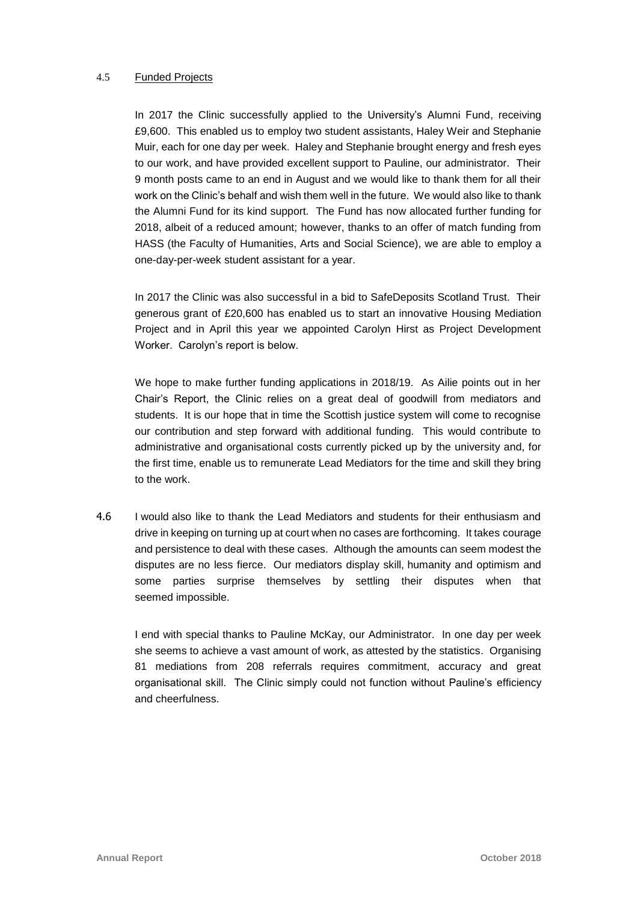#### 4.5 Funded Projects

In 2017 the Clinic successfully applied to the University's Alumni Fund, receiving £9,600. This enabled us to employ two student assistants, Haley Weir and Stephanie Muir, each for one day per week. Haley and Stephanie brought energy and fresh eyes to our work, and have provided excellent support to Pauline, our administrator. Their 9 month posts came to an end in August and we would like to thank them for all their work on the Clinic's behalf and wish them well in the future. We would also like to thank the Alumni Fund for its kind support. The Fund has now allocated further funding for 2018, albeit of a reduced amount; however, thanks to an offer of match funding from HASS (the Faculty of Humanities, Arts and Social Science), we are able to employ a one-day-per-week student assistant for a year.

In 2017 the Clinic was also successful in a bid to SafeDeposits Scotland Trust. Their generous grant of £20,600 has enabled us to start an innovative Housing Mediation Project and in April this year we appointed Carolyn Hirst as Project Development Worker. Carolyn's report is below.

We hope to make further funding applications in 2018/19. As Ailie points out in her Chair's Report, the Clinic relies on a great deal of goodwill from mediators and students. It is our hope that in time the Scottish justice system will come to recognise our contribution and step forward with additional funding. This would contribute to administrative and organisational costs currently picked up by the university and, for the first time, enable us to remunerate Lead Mediators for the time and skill they bring to the work.

4.6 I would also like to thank the Lead Mediators and students for their enthusiasm and drive in keeping on turning up at court when no cases are forthcoming. It takes courage and persistence to deal with these cases. Although the amounts can seem modest the disputes are no less fierce. Our mediators display skill, humanity and optimism and some parties surprise themselves by settling their disputes when that seemed impossible.

I end with special thanks to Pauline McKay, our Administrator. In one day per week she seems to achieve a vast amount of work, as attested by the statistics. Organising 81 mediations from 208 referrals requires commitment, accuracy and great organisational skill. The Clinic simply could not function without Pauline's efficiency and cheerfulness.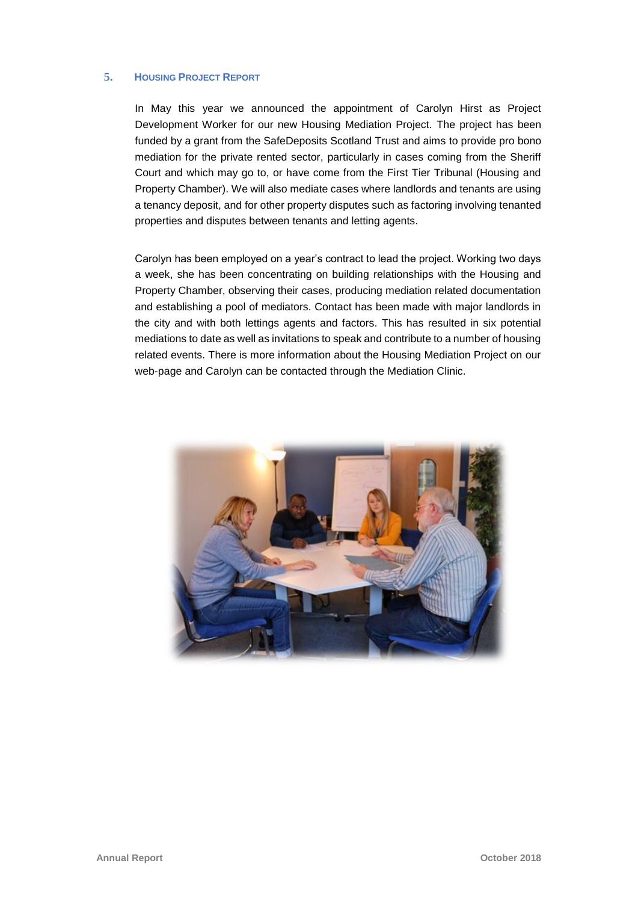# **5. HOUSING PROJECT REPORT**

In May this year we announced the appointment of Carolyn Hirst as Project Development Worker for our new Housing Mediation Project. The project has been funded by a grant from the SafeDeposits Scotland Trust and aims to provide pro bono mediation for the private rented sector, particularly in cases coming from the Sheriff Court and which may go to, or have come from the First Tier Tribunal (Housing and Property Chamber). We will also mediate cases where landlords and tenants are using a tenancy deposit, and for other property disputes such as factoring involving tenanted properties and disputes between tenants and letting agents.

Carolyn has been employed on a year's contract to lead the project. Working two days a week, she has been concentrating on building relationships with the Housing and Property Chamber, observing their cases, producing mediation related documentation and establishing a pool of mediators. Contact has been made with major landlords in the city and with both lettings agents and factors. This has resulted in six potential mediations to date as well as invitations to speak and contribute to a number of housing related events. There is more information about the Housing Mediation Project on our web-page and Carolyn can be contacted through the Mediation Clinic.

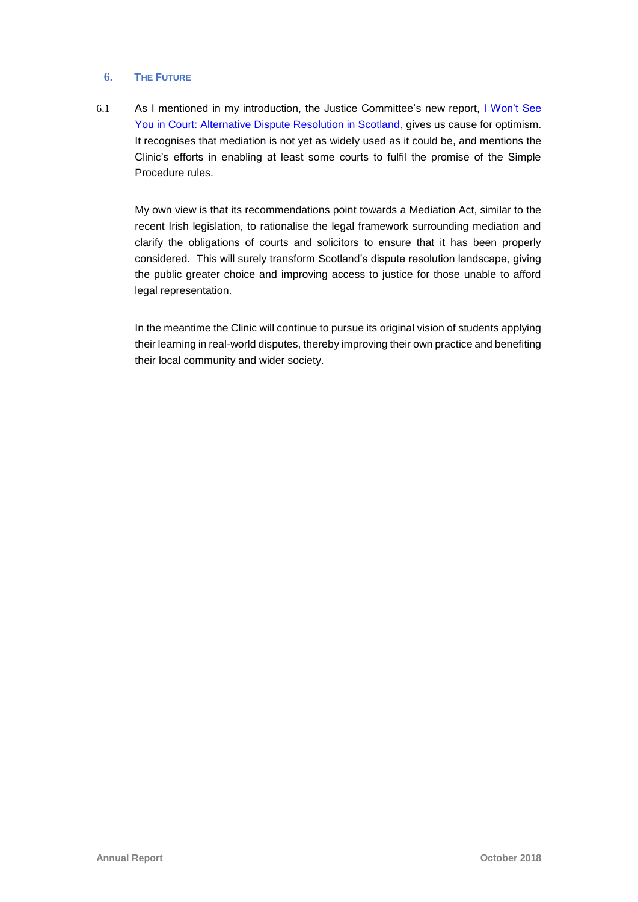# **6. THE FUTURE**

6.1 As I mentioned in my introduction, the Justice Committee's new report, **I Won't See** [You in Court: Alternative Dispute Resolution in Scotland,](https://digitalpublications.parliament.scot/Committees/Report/J/2018/10/1/I-won-t-see-you-in-court--alternative-dispute-resolution-in-Scotland#Introduction) gives us cause for optimism. It recognises that mediation is not yet as widely used as it could be, and mentions the Clinic's efforts in enabling at least some courts to fulfil the promise of the Simple Procedure rules.

My own view is that its recommendations point towards a Mediation Act, similar to the recent Irish legislation, to rationalise the legal framework surrounding mediation and clarify the obligations of courts and solicitors to ensure that it has been properly considered. This will surely transform Scotland's dispute resolution landscape, giving the public greater choice and improving access to justice for those unable to afford legal representation.

In the meantime the Clinic will continue to pursue its original vision of students applying their learning in real-world disputes, thereby improving their own practice and benefiting their local community and wider society.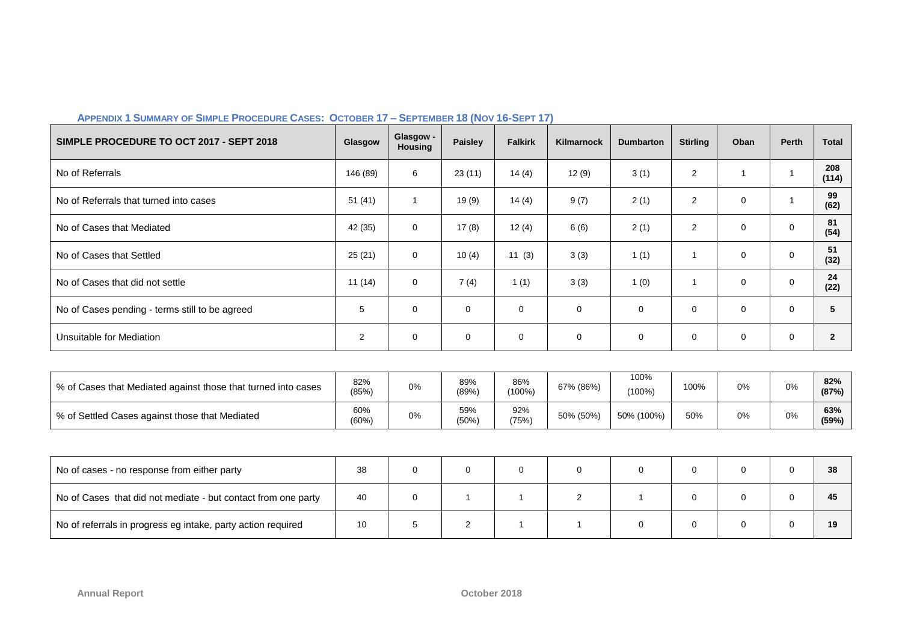| SIMPLE PROCEDURE TO OCT 2017 - SEPT 2018                      | Glasgow         | Glasgow -<br>Housing | <b>Paisley</b>   | <b>Falkirk</b>          | <b>Kilmarnock</b> | <b>Dumbarton</b>  | <b>Stirling</b> | Oban         | <b>Perth</b> | <b>Total</b>   |
|---------------------------------------------------------------|-----------------|----------------------|------------------|-------------------------|-------------------|-------------------|-----------------|--------------|--------------|----------------|
| No of Referrals                                               | 146 (89)        | 6                    | 23(11)           | 14(4)                   | 12(9)             | 3(1)              | $\overline{2}$  | $\mathbf{1}$ | $\mathbf{1}$ | 208<br>(114)   |
| No of Referrals that turned into cases                        | 51(41)          | $\mathbf{1}$         | 19(9)            | 14(4)                   | 9(7)              | 2(1)              | $\overline{2}$  | $\mathbf 0$  | $\mathbf{1}$ | 99<br>(62)     |
| No of Cases that Mediated                                     | 42 (35)         | $\mathbf 0$          | 17(8)            | 12(4)                   | 6(6)              | 2(1)              | $\overline{2}$  | $\mathbf 0$  | $\mathbf 0$  | 81<br>(54)     |
| No of Cases that Settled                                      | 25(21)          | $\mathbf 0$          | 10(4)            | 11(3)                   | 3(3)              | 1(1)              | 1               | $\mathbf 0$  | $\mathbf 0$  | 51<br>(32)     |
| No of Cases that did not settle                               | 11(14)          | $\mathbf 0$          | 7(4)             | 1(1)                    | 3(3)              | 1(0)              | 1               | $\mathbf 0$  | $\mathbf 0$  | 24<br>(22)     |
| No of Cases pending - terms still to be agreed                | $\sqrt{5}$      | $\mathbf 0$          | $\mathbf 0$      | 0                       | $\mathbf 0$       | $\mathbf 0$       | $\mathbf 0$     | $\mathbf 0$  | 0            | 5              |
| Unsuitable for Mediation                                      | 2               | $\mathbf 0$          | $\mathbf 0$      | $\mathbf 0$             | 0                 | $\mathbf 0$       | 0               | $\mathbf 0$  | $\mathbf 0$  | $\overline{2}$ |
|                                                               |                 |                      |                  |                         |                   |                   |                 |              |              |                |
| % of Cases that Mediated against those that turned into cases | 82%<br>(85%)    | $0\%$                | 89%<br>(89%)     | 86%<br>$(100\%)$        | 67% (86%)         | 100%<br>$(100\%)$ | 100%            | 0%           | 0%           | 82%<br>(87%)   |
| % of Settled Cases against those that Mediated                | 60%<br>(60%)    | 0%                   | 59%<br>(50%)     | 92%<br>(75%)            | 50% (50%)         | 50% (100%)        | 50%             | 0%           | 0%           | 63%<br>(59%)   |
|                                                               |                 |                      |                  |                         |                   |                   |                 |              |              |                |
| No of cases - no response from either party                   | 38              | $\mathbf 0$          | 0                | 0                       | 0                 | $\mathbf 0$       | 0               | $\mathbf 0$  | $\mathbf 0$  | 38             |
| No of Cases that did not mediate - but contact from one party | 40              | $\mathbf 0$          | $\mathbf{1}$     | $\overline{\mathbf{1}}$ | $\overline{2}$    | $\mathbf{1}$      | $\mathbf 0$     | $\mathbf 0$  | $\Omega$     | 45             |
| No of referrals in progress eg intake, party action required  | 10 <sup>°</sup> | 5                    | $\boldsymbol{2}$ | 1                       | $\mathbf 1$       | 0                 | 0               | $\mathbf 0$  | $\mathbf 0$  | 19             |

### APPENDIX 1 SUMMARY OF SIMPLE PROCEDURE CASES: OCTOBER 17 - SEPTEMBER 18 (NOV 16-SEPT 17)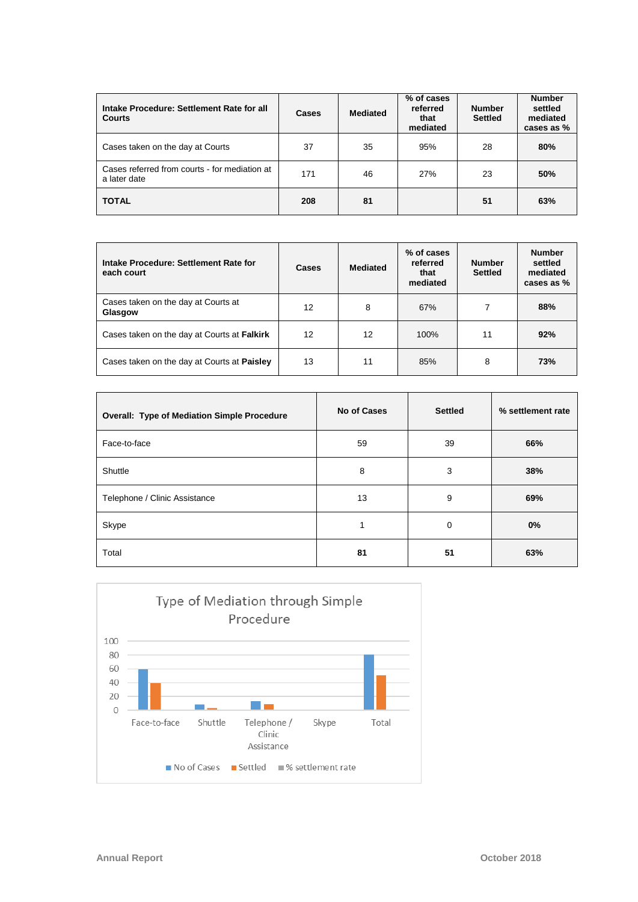| Intake Procedure: Settlement Rate for all<br><b>Courts</b>    | <b>Cases</b> | <b>Mediated</b> | % of cases<br>referred<br>that<br>mediated | <b>Number</b><br><b>Settled</b> | <b>Number</b><br>settled<br>mediated<br>cases as % |
|---------------------------------------------------------------|--------------|-----------------|--------------------------------------------|---------------------------------|----------------------------------------------------|
| Cases taken on the day at Courts                              | 37           | 35              | 95%                                        | 28                              | 80%                                                |
| Cases referred from courts - for mediation at<br>a later date | 171          | 46              | 27%                                        | 23                              | 50%                                                |
| <b>TOTAL</b>                                                  | 208          | 81              |                                            | 51                              | 63%                                                |

| Intake Procedure: Settlement Rate for<br>each court | Cases | <b>Mediated</b> | % of cases<br>referred<br>that<br>mediated | <b>Number</b><br><b>Settled</b> | <b>Number</b><br>settled<br>mediated<br>cases as % |
|-----------------------------------------------------|-------|-----------------|--------------------------------------------|---------------------------------|----------------------------------------------------|
| Cases taken on the day at Courts at<br>Glasgow      | 12    | 8               | 67%                                        | 7                               | 88%                                                |
| Cases taken on the day at Courts at Falkirk         | 12    | 12              | 100%                                       | 11                              | 92%                                                |
| Cases taken on the day at Courts at Paisley         | 13    | 11              | 85%                                        | 8                               | 73%                                                |

| <b>Overall: Type of Mediation Simple Procedure</b> | No of Cases | <b>Settled</b> | % settlement rate |
|----------------------------------------------------|-------------|----------------|-------------------|
| Face-to-face                                       | 59          | 39             | 66%               |
| Shuttle                                            | 8           | 3              | 38%               |
| Telephone / Clinic Assistance                      | 13          | 9              | 69%               |
| Skype                                              |             | $\mathbf 0$    | 0%                |
| Total                                              | 81          | 51             | 63%               |

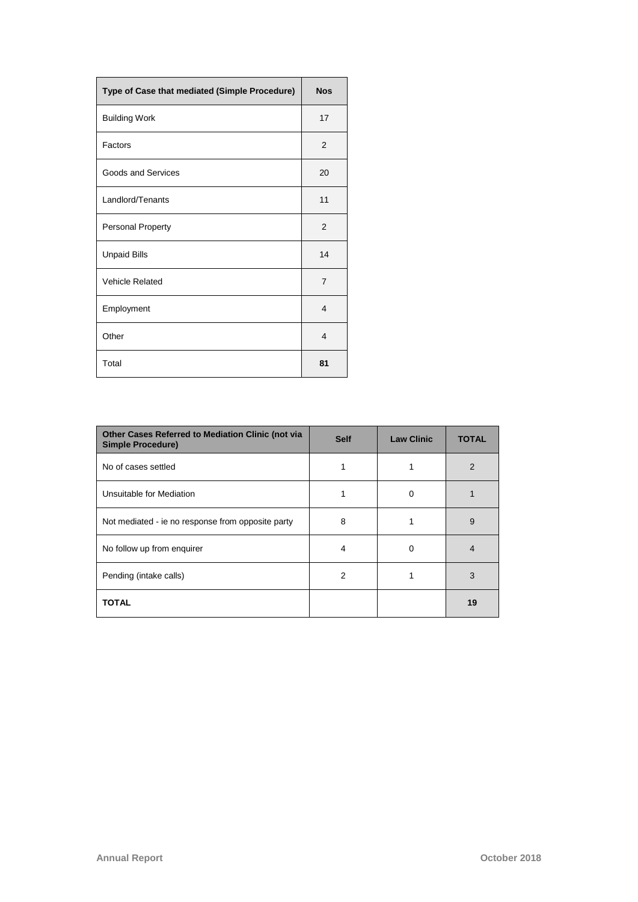| Type of Case that mediated (Simple Procedure) | <b>Nos</b>     |
|-----------------------------------------------|----------------|
| <b>Building Work</b>                          | 17             |
| Factors                                       | 2              |
| Goods and Services                            | 20             |
| Landlord/Tenants                              | 11             |
| <b>Personal Property</b>                      | 2              |
| <b>Unpaid Bills</b>                           | 14             |
| <b>Vehicle Related</b>                        | $\overline{7}$ |
| Employment                                    | 4              |
| Other                                         | $\overline{4}$ |
| Total                                         | 81             |

| Other Cases Referred to Mediation Clinic (not via<br><b>Simple Procedure)</b> | <b>Self</b> | <b>Law Clinic</b> | <b>TOTAL</b>  |
|-------------------------------------------------------------------------------|-------------|-------------------|---------------|
| No of cases settled                                                           |             |                   | $\mathcal{P}$ |
| Unsuitable for Mediation                                                      |             | $\Omega$          |               |
| Not mediated - ie no response from opposite party                             | 8           |                   | 9             |
| No follow up from enquirer                                                    | 4           | $\Omega$          | 4             |
| Pending (intake calls)                                                        | 2           |                   | 3             |
| <b>TOTAL</b>                                                                  |             |                   | 19            |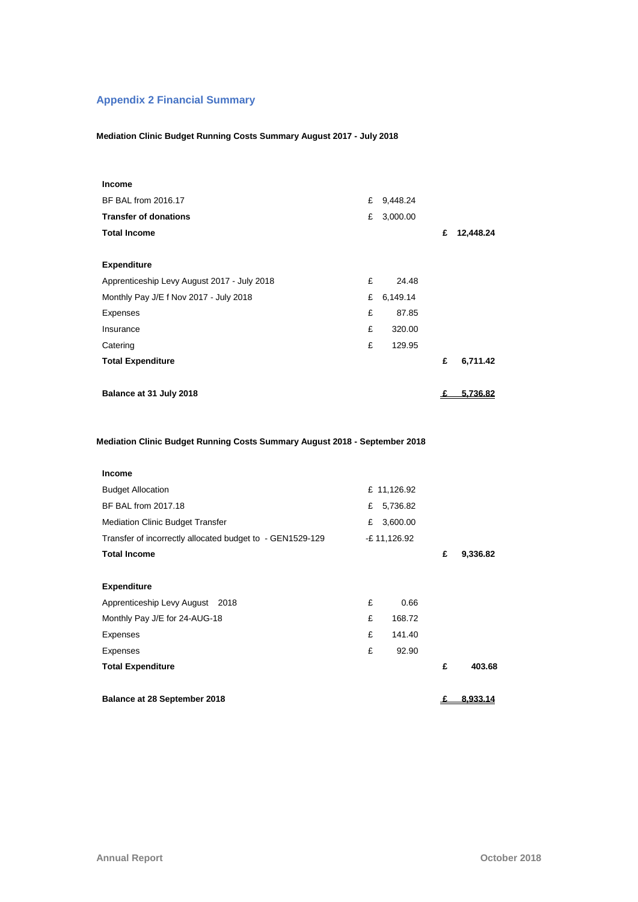# **Appendix 2 Financial Summary**

### **Mediation Clinic Budget Running Costs Summary August 2017 - July 2018**

| <b>Income</b>                                                                               |   |              |   |           |
|---------------------------------------------------------------------------------------------|---|--------------|---|-----------|
| BF BAL from 2016.17                                                                         |   | £ 9,448.24   |   |           |
| <b>Transfer of donations</b>                                                                | £ | 3,000.00     |   |           |
| <b>Total Income</b>                                                                         |   |              | £ | 12,448.24 |
|                                                                                             |   |              |   |           |
| <b>Expenditure</b>                                                                          |   |              |   |           |
| Apprenticeship Levy August 2017 - July 2018                                                 | £ | 24.48        |   |           |
| Monthly Pay J/E f Nov 2017 - July 2018                                                      | £ | 6,149.14     |   |           |
| Expenses                                                                                    | £ | 87.85        |   |           |
| Insurance                                                                                   | £ | 320.00       |   |           |
| Catering                                                                                    | £ | 129.95       |   |           |
| <b>Total Expenditure</b>                                                                    |   |              | £ | 6,711.42  |
|                                                                                             |   |              |   |           |
| Balance at 31 July 2018                                                                     |   |              | £ | 5,736.82  |
|                                                                                             |   |              |   |           |
| Mediation Clinic Budget Running Costs Summary August 2018 - September 2018<br><b>Income</b> |   |              |   |           |
| <b>Budget Allocation</b>                                                                    |   | £ 11,126.92  |   |           |
| BF BAL from 2017.18                                                                         | £ | 5,736.82     |   |           |
| <b>Mediation Clinic Budget Transfer</b>                                                     | £ | 3,600.00     |   |           |
| Transfer of incorrectly allocated budget to - GEN1529-129                                   |   | -£ 11,126.92 |   |           |
| <b>Total Income</b>                                                                         |   |              | £ | 9,336.82  |
|                                                                                             |   |              |   |           |
| <b>Expenditure</b>                                                                          |   |              |   |           |
| Apprenticeship Levy August<br>2018                                                          | £ | 0.66         |   |           |
| Monthly Pay J/E for 24-AUG-18                                                               | £ | 168.72       |   |           |
| Expenses                                                                                    | £ | 141.40       |   |           |
| Expenses                                                                                    | £ | 92.90        |   |           |
| <b>Total Expenditure</b>                                                                    |   |              | £ | 403.68    |
|                                                                                             |   |              |   |           |
|                                                                                             |   |              |   |           |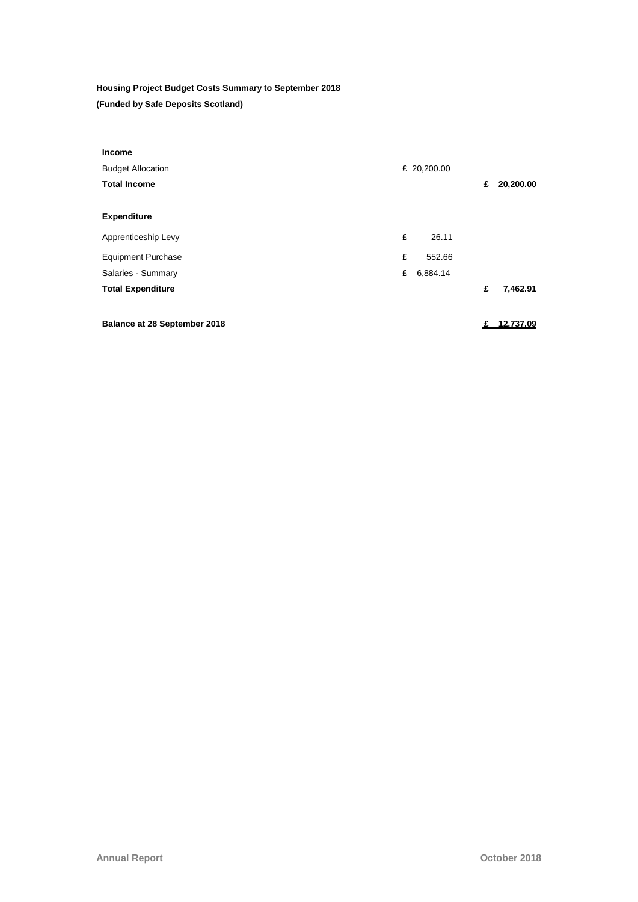# **Housing Project Budget Costs Summary to September 2018 (Funded by Safe Deposits Scotland)**

| <b>Income</b>                       |   |             |   |           |
|-------------------------------------|---|-------------|---|-----------|
| <b>Budget Allocation</b>            |   | £ 20,200.00 |   |           |
| <b>Total Income</b>                 |   |             | £ | 20,200.00 |
|                                     |   |             |   |           |
| <b>Expenditure</b>                  |   |             |   |           |
| Apprenticeship Levy                 | £ | 26.11       |   |           |
| <b>Equipment Purchase</b>           | £ | 552.66      |   |           |
| Salaries - Summary                  | £ | 6,884.14    |   |           |
| <b>Total Expenditure</b>            |   |             | £ | 7,462.91  |
|                                     |   |             |   |           |
| <b>Balance at 28 September 2018</b> |   |             |   | 12.737.09 |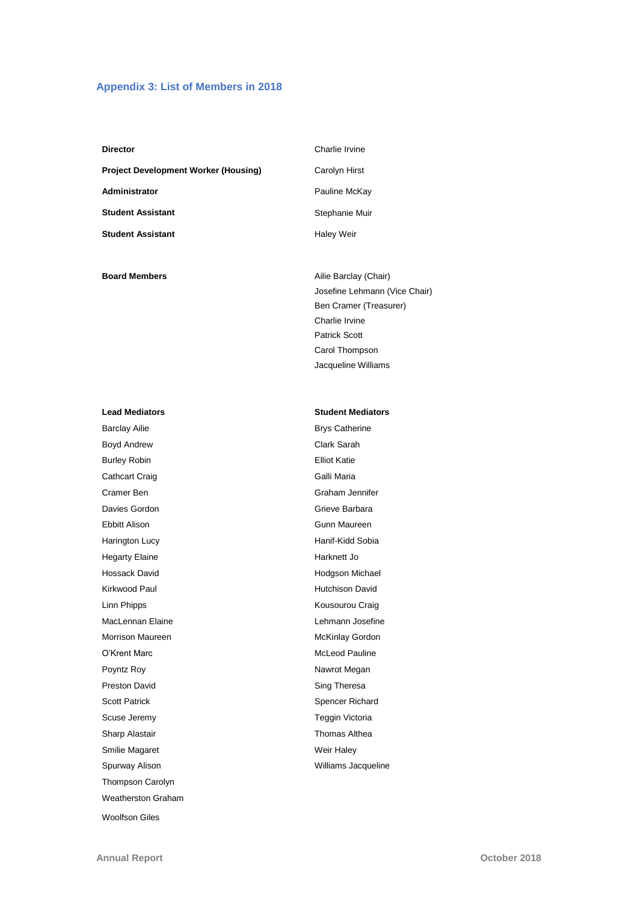#### **Appendix 3: List of Members in 2018**

| <b>Director</b>                      | Charlie Irvine    |
|--------------------------------------|-------------------|
| Project Development Worker (Housing) | Carolyn Hirst     |
| Administrator                        | Pauline McKay     |
| Student Assistant                    | Stephanie Muir    |
| Student Assistant                    | <b>Haley Weir</b> |
|                                      |                   |

**Board Members Ailie Barclay (Chair)** 

#### **Lead Mediators Student Mediators**

Barclay Ailie **Brys Catherine** Boyd Andrew **Clark Sarah** Burley Robin **Elliot Katie** Cathcart Craig Cathcart Craig Cathcart Craig Cathcart Craig Cathcart Craig Cathcart Craig Cathcart C Cramer Ben Graham Jennifer Davies Gordon Grieve Barbara Ebbitt Alison Gunn Maureen Harington Lucy **Hanif-Kidd Sobia** Hegarty Elaine **Harknett** Jo Hossack David **Hossack David Hotel** Hodgson Michael Kirkwood Paul **Hutchison David** Linn Phipps **Kousourou** Craig MacLennan Elaine **MacLennan Elaine** Lehmann Josefine Morrison Maureen **McKinlay Gordon** McKinlay Gordon O'Krent Marc **McLeod Pauline** Poyntz Roy **Nawrot Megan** Preston David **Sing Theresa** Scott Patrick Spencer Richard Scuse Jeremy **Teggin Victoria** Sharp Alastair **Thomas Althea** Smilie Magaret Weir Haley Spurway Alison **Milliams** Jacqueline Thompson Carolyn Weatherston Graham Woolfson Giles

Charlie Irvine Patrick Scott Carol Thompson Jacqueline Williams

Josefine Lehmann (Vice Chair) Ben Cramer (Treasurer)